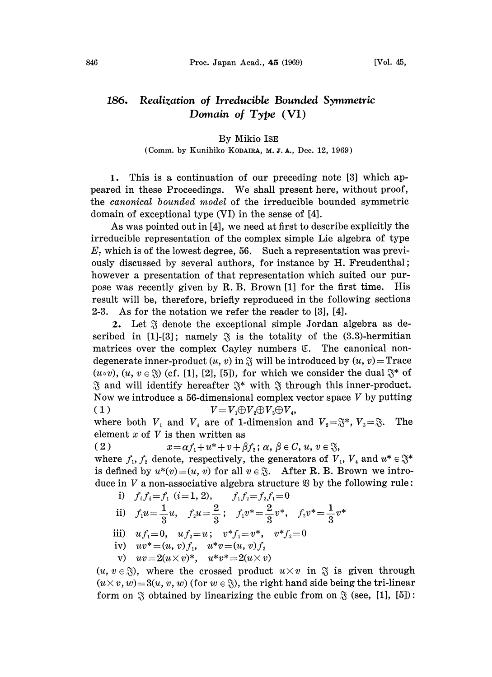## 186. Realization of Irreducible Bounded Symmetric Domain of  $Type (VI)$

## By Mikio ISE

## (Comm. by Kunihiko KODAIRA, M. J. A., Dec. 12, 1969)

1. This is a continuation of our preceding note [3] which appeared in these Proceedings. We shall present here, without proof, the canonical bounded model of the irreducible bounded symmetric domain of exceptional type (VI) in the sense of [4].

As was pointed out in [4], we need at first to describe explicitly the irreducible representation of the complex simple Lie algebra of type  $E<sub>7</sub>$  which is of the lowest degree, 56. Such a representation was previously discussed by several authors, for instance by H. Freudenthal; however a presentation of that representation which suited our purpose was recently given by R. B. Brown [1] for the first time. His result will be, therefore, briefly reproduced in the following sections 2-3. As for the notation we refer the reader to [3], [4].

2. Let  $\mathfrak{F}$  denote the exceptional simple Jordan algebra as described in [1]-[3]; namely  $\tilde{\gamma}$  is the totality of the (3.3)-hermitian matrices over the complex Cayley numbers  $\mathfrak{C}$ . The canonical nondegenerate inner-product  $(u, v)$  in  $\mathfrak F$  will be introduced by  $(u, v)$  = Trace  $(u \circ v)$ ,  $(u, v \in \mathcal{X})$  (cf. [1], [2], [5]), for which we consider the dual  $\mathcal{X}^*$  of  $\mathcal{X}$  and will identify hereafter  $\mathcal{X}^*$  with  $\mathcal{X}$  through this inner-product.  $\mathfrak F$  and will identify hereafter  $\mathfrak F^*$  with  $\mathfrak F$  through this inner-product.<br>Now we introduce a 56-dimensional complex vector space V by putting  $\mathcal{R}$  and will identify hereafter  $\mathcal{R}^*$  with  $\mathcal{R}$  through this inner-product. ( 1 )  $V = V_1 \oplus V_2 \oplus V_3 \oplus V_4$ ,

where both  $V_1$  and  $V_4$  are of 1-dimension and  $V_2=\mathfrak{F}^*, V_3=\mathfrak{F}$ . The element  $x$  of  $V$  is then written as

( 2 )  $x = \alpha f_1 + u^* + v + \beta f_2$ ;  $\alpha, \beta \in C, u, v \in \mathcal{S}$ ,

where  $f_1, f_2$  denote, respectively, the generators of  $V_1, V_4$  and  $u^* \in \mathfrak{F}^*$ where  $f_1$ ,  $f_2$  denote, respectively, the generators of  $V_1$ ,  $V_4$  and  $u^* \in \mathfrak{F}^*$  is defined by  $u^*(v) = (u, v)$  for all  $v \in \mathfrak{F}$ . After R. B. Brown we introduce in  $V$  a non-associative algebra structure  $\mathfrak{B}$  by the following rule:

i) 
$$
f_i f_i = f_1
$$
 (i=1, 2),  $f_1 f_2 = f_2 f_1 = 0$   
\nii)  $f_1 u = \frac{1}{3} u$ ,  $f_2 u = \frac{2}{3}$ ;  $f_1 v^* = \frac{2}{3} v^*$ ,  $f_2 v^* = \frac{1}{3} v^*$ 

iii) 
$$
uf_1=0
$$
,  $uf_2=u$ ;  $v*f_1=v^*$ ,  $v*f_2=0$ 

iv) 
$$
uv^* = (u, v)f_1, u^*v = (u, v)f_2
$$

v) 
$$
uv=2(u\times v)^*, \quad u^*v^*=2(u\times v)
$$

 $(u, v \in \mathcal{S})$ , where the crossed product  $u \times v$  in  $\mathcal{S}$  is given through  $(u \times v, w) = 3(u, v, w)$  (for  $w \in \mathfrak{F}$ ), the right hand side being the tri-linear form on  $\tilde{\gamma}$  obtained by linearizing the cubic from on  $\tilde{\gamma}$  (see, [1], [5]):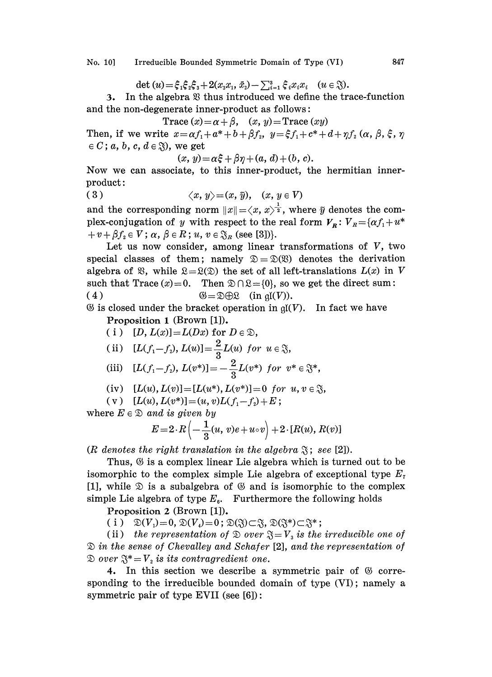No. 10] Irreducible Bounded Symmetric Domain of Type (VI) 847

det 
$$
(u) = \xi_1 \xi_2 \xi_3 + 2(x_3 x_1, \bar{x}_2) - \sum_{i=1}^3 \xi_i x_i x_i
$$
  $(u \in \mathfrak{F}).$ 

3. In the algebra  $\mathfrak B$  thus introduced we define the trace-function and the non-degenerate inner-product as follows:

$$
\text{Trace}\,(x) = \alpha + \beta, \quad (x, y) = \text{Trace}\,(xy)
$$

Trace  $(x) = \alpha + \beta$ ,  $(x, y) =$ Trace  $(xy)$ <br>Then, if we write  $x = \alpha f_1 + \alpha^* + b + \beta f_2$ ,  $y = \xi f_1 + c^* + d + \eta f_2$   $(\alpha, \beta, \xi, \eta)$  $\in C$ ; a, b, c,  $d \in \mathcal{S}$ ), we get

$$
(x, y) = \alpha \xi + \beta \eta + (a, d) + (b, c).
$$

Now we can associate, to this inner-product, the hermitian innerproduct:

$$
(3) \t\t \langle x, y \rangle = (x, \tilde{y}), \t(x, y \in V)
$$

and the corresponding norm  $||x|| = \langle x, x \rangle^{\frac{1}{2}}$ , where  $\tilde{y}$  denotes the complex-conjugation of y with respect to the real form  $V_{\bf r}: V_{\bf r} = {\alpha f_1 + u^*}$  $+v + \beta f_2 \in V$ ;  $\alpha, \beta \in R$ ;  $u, v \in \mathfrak{F}_R$  (see [3])}.

Let us now consider, among linear transformations of  $V$ , two special classes of them; namely  $\mathcal{D}=\mathcal{D}(\mathcal{D})$  denotes the derivation algebra of  $\mathfrak{B}$ , while  $\mathfrak{L} = \mathfrak{L}(\mathfrak{D})$  the set of all left-translations  $L(x)$  in V such that Trace  $(x)=0$ . Then  $\mathcal{D}\cap \mathcal{R}=\{0\}$ , so we get the direct sum: ( 4 )  $\mathfrak{G} = \mathfrak{D} \oplus \mathfrak{L}$  (in  $\mathfrak{a}(V)$ ).

 $\mathfrak G$  is closed under the bracket operation in  $\mathfrak{gl}(V)$ . In fact we have Proposition <sup>1</sup> (Brown [1]).

(i)  $[D, L(x)] = L(Dx)$  for  $D \in \mathcal{D}$ ,

(ii) 
$$
[L(f_1-f_2), L(u)] = \frac{2}{3}L(u)
$$
 for  $u \in \mathcal{X}$ ,

(iii) 
$$
[L(f_1-f_2), L(v^*)] = -\frac{2}{3}L(v^*)
$$
 for  $v^* \in \mathfrak{F}^*$ ,

(iv) 
$$
[L(u), L(v)] = [L(u^*), L(v^*)] = 0
$$
 for  $u, v \in \mathcal{S}$ ,

( v )  $[L(u), L(v^*)]=(u, v)L(f_1-f_2)+E;$ 

where  $E \in \mathcal{D}$  and is given by

$$
E=2\cdot R\left(-\frac{1}{3}(u, v)e+u\circ v\right)+2\cdot[R(u), R(v)]
$$

(R denotes the right translation in the algebra  $\mathfrak{F}$ ; see [2]).

Thus,  $\mathfrak G$  is a complex linear Lie algebra which is turned out to be isomorphic to the complex simple Lie algebra of exceptional type  $E<sub>7</sub>$ [1], while  $\mathcal D$  is a subalgebra of  $\mathcal G$  and is isomorphic to the complex simple Lie algebra of type  $E_{\rm s}$ . Furthermore the following holds

Proposition 2 (Brown [1]).

(i)  $\mathfrak{D}(V_1)=0, \mathfrak{D}(V_4)=0; \mathfrak{D}(\mathfrak{F})\subset \mathfrak{F}, \mathfrak{D}(\mathfrak{F}^*)\subset \mathfrak{F}^*;$ <br>(ii) the representation of  $\mathfrak{D}$  over  $\mathfrak{F}=V_3$  is the irreducible one of  $\mathfrak D$  in the sense of Chevalley and Schafer [2], and the representation of  $\mathcal{D}$  over  $\mathfrak{F}^* = V$ , is its contragredient one.

4. In this section we describe a symmetric pair of  $\otimes$  corresponding to the irreducible bounded domain of type (VI); namely a symmetric pair of type EVII (see [6]):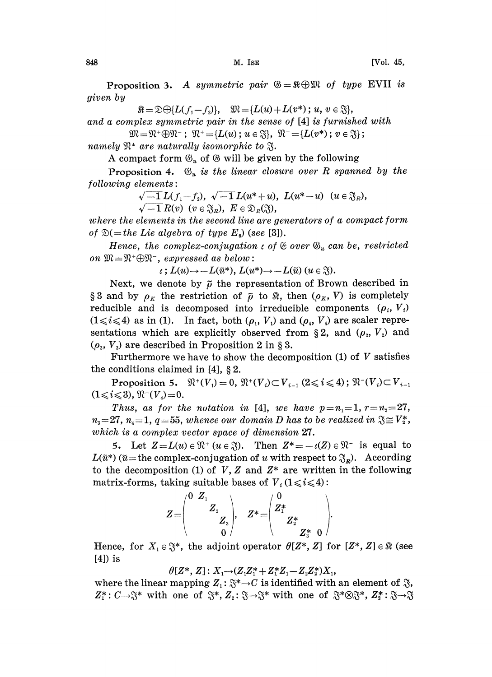Proposition 3. A symmetric pair  $\mathcal{B}=\Re\bigoplus\mathcal{M}$  of type EVII is given by

 $\mathbb{R} = \mathbb{D} \oplus \{L(f_1 - f_2)\}, \quad \mathbb{W} = \{L(u) + L(v^*); u, v \in \mathbb{S}\},$ 

and a complex symmetric pair in the sense of [4] is furnished with

 $\mathfrak{M}=\mathfrak{N}^+\oplus \mathfrak{N}^-~;~~\mathfrak{N}^+={L(u)}~;~u\in \mathfrak{J}\},~~\mathfrak{N}^-={L(v^*)}~;~v\in \mathfrak{J}\}$ 

namely  $\mathfrak{N}^*$  are naturally isomorphic to  $\mathfrak{F}.$ 

A compact form  $\mathfrak{G}_u$  of  $\mathfrak{G}$  will be given by the following

**Proposition 4.**  $\mathfrak{G}_n$  is the linear closure over R spanned by the following elements:

> $\sqrt{-1}L(f_1-f_2), \sqrt{-1}L(u^*+u), L(u^*-u)$   $(u \in \mathfrak{F}_R),$  $\sqrt{-1} R(v)$   $(v \in \mathfrak{F}_R)$ ,  $E \in \mathfrak{D}_R(\mathfrak{F})$ ,

where the elements in the second line are generators of a compact form of  $\mathfrak{D}(=$ the Lie algebra of type  $E_{\mathfrak{g}}$ ) (see [3]).

Hence, the complex-conjugation  $\iota$  of  $\mathfrak{E}$  over  $\mathfrak{G}_u$  can be, restricted on  $\mathfrak{M}=\mathfrak{N}^+\oplus \mathfrak{N}^-$ , expressed as below:

 $\iota: L(u) \rightarrow -L(\tilde{u}^*), L(u^*) \rightarrow -L(\tilde{u}) \ (u \in \mathfrak{F}).$ 

Next, we denote by  $\tilde{\rho}$  the representation of Brown described in §3 and by  $\rho_K$  the restriction of  $\tilde{\rho}$  to  $\Re$ , then  $(\rho_K, V)$  is completely reducible and is decomposed into irreducible components  $(\rho_i, V_i)$  $(1 \le i \le 4)$  as in (1). In fact, both  $(\rho_1, V_1)$  and  $(\rho_4, V_4)$  are scaler representations which are explicitly observed from §2, and  $(\rho_2, V_2)$  and  $(\rho_{3}, V_{3})$  are described in Proposition 2 in § 3.

Furthermore we have to show the decomposition  $(1)$  of V satisfies the conditions claimed in  $[4]$ , § 2.

Proposition 5.  $\mathfrak{R}^+(V_1) = 0$ ,  $\mathfrak{R}^+(V_1) \subset V_{i-1}$   $(2 \le i \le 4)$ ;  $\mathfrak{R}^-(V_1) \subset V_{i-1}$  $(1\leq i \leq 3), \, \mathfrak{N}^{-}(V_4)=0.$ 

Thus, as for the notation in [4], we have  $p=n_1=1, r=n_2=27$ ,  $n_{3}=27$ ,  $n_{4}=1$ ,  $q=55$ , whence our domain D has to be realized in  $\mathfrak{F}\cong V_{2}^{*}$ , which is a complex vector space of dimension 27.

 $n_3=27$ ,  $n_4=1$ ,  $q=55$ , whence our domain D has to be realized in  $\mathfrak{F}\cong V_2^*$ ,<br>which is a complex vector space of dimension 27.<br>5. Let  $Z=L(u)\in \mathfrak{N}^+$  ( $u\in \mathfrak{F}$ ). Then  $Z^*=-\iota(Z)\in \mathfrak{N}^-$  is equal to<br> $L(\tilde{u$ 5. Let  $Z = L(u) \in \mathfrak{N}^+$   $(u \in \mathfrak{J})$ . Then  $Z^* = -\iota(Z) \in \mathfrak{N}^-$  is equal to to the decomposition (1) of V, Z and  $Z^*$  are written in the following matrix-forms, taking suitable bases of  $V_i$  (1  $\le i \le 4$ ):

$$
Z = \begin{pmatrix} 0 & Z_1 \\ & Z_2 \\ & & Z_3 \end{pmatrix}, \quad Z^* = \begin{pmatrix} 0 \\ Z_1^* \\ & Z_2^* \\ & & Z_3^* \end{pmatrix}.
$$

Hence, for  $X_1 \in \mathfrak{F}^*$ , the adjoint operator  $\theta[Z^*, Z]$  for  $[Z^*, Z] \in \mathfrak{K}$  (see [4]) is

 $\theta[Z^*, Z]$ :  $X_1 \rightarrow (Z_1 Z_1^* + Z_1^* Z_1 - Z_2 Z_2^*) X_1$ 

where the linear mapping  $Z_1: \mathfrak{F}^* \to C$  is identified with an element of  $\mathfrak{F}$ ,  $Z_i^*: C \to \mathfrak{F}^*$  with one of  $\mathfrak{F}^*, Z_2: \mathfrak{F} \to \mathfrak{F}^*$  with one of  $\mathfrak{F}^* \otimes \mathfrak{F}^*, Z_i^*: \mathfrak{F} \to \mathfrak{F}$  $Z_1^*: C \rightarrow \mathfrak{F}^*$  with one of  $\mathfrak{F}^*, Z_2: \mathfrak{F} \rightarrow \mathfrak{F}^*$  with one of  $\mathfrak{F}^* \otimes \mathfrak{F}^*, Z_2^*: \mathfrak{F} \rightarrow \mathfrak{F}$